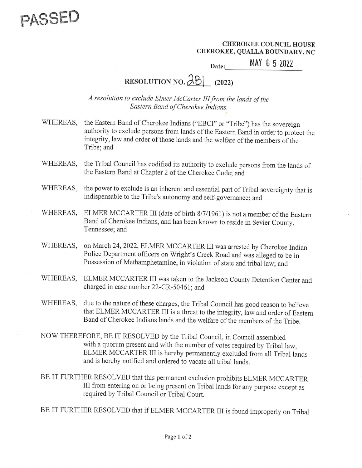

CHEROKEE COUNCIL HOUSE CHEROKEE, QUALLA BOUNDARY, NC EREROKEE CHEROKEE<br>EE, QUALLA<br>MAY

Date: **MAY 05 2022** 

|

## RESOLUTION NO.  $\partial \mathcal{B}$  (2022)

A resolution to exclude Elmer McCarter III from the lands of the Eastern Band of Cherokee Indians.

- WHEREAS, the Eastern Band of Cherokee Indians ("EBCI" or "Tribe") has the sovereign authority to exclude persons from lands of the Eastern Band in order to protect the integrity, law and order of those lands and the welfare of the members of the Tribe; and
- WHEREAS, the Tribal Council has codified its authority to exclude persons from the lands of the Eastern Band at Chapter 2 of the Cherokee Code; and
- WHEREAS, the power to exclude is an inherent and essential part of Tribal sovereignty that is indispensable to the Tribe's autonomy and self-governance; and
- WHEREAS, ELMER MCCARTER III (date of birth 8/7/1961) is not a member of the Eastern Band of Cherokee Indians, and has been known to reside in Sevier County, Band of Cherokee Indians, and has been known to reside in Sevier County, Tennessee; and
- WHEREAS, on March 24, 2022, ELMER MCCARTER III was arrested by Cherokee Indian Police Department officers on Wright's Creek Road and was alleged to be in Possession of Methamphetamine, in violation of state and tribal law; and
- WHEREAS, ELMER MCCARTER III was taken to the Jackson County Detention Center and charged in case number 22-CR-50461; and
- WHEREAS, due to the nature of these charges, the Tribal Council has good reason to believe that ELMER MCCARTER III is a threat to the integrity, law and order of Eastern<br>Band of Cherokee Indians lands and the welfare of the members of the Tribe.
- NOW THEREFORE, BE IT RESOLVED by the Tribal Council, in Council assembled ELMER MCCARTER III is hereby permanently excluded from all Tribal lands and is hereby notified and ordered to vacate all tribal lands.
- BE IT FURTHER RESOLVED that this permanent exclusion prohibits ELMER MCCARTER<br>III from entering on or being present on Tribal lands for any purpose except as required by Tribal Council or Tribal Court.
- BE IT FURTHER RESOLVED that if ELMER MCCARTER III is found improperly on Tribal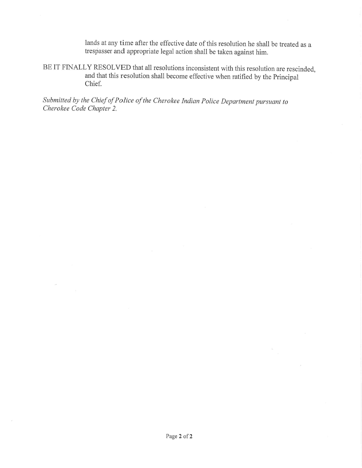lands at any time after the effective date of this resolution he shall be treated as a trespasser and appropriate legal action shall be taken against him.

BE IT FINALLY RESOLVED that all resolutions inconsistent with this resolution are rescinded, and that this resolution shall become effective when ratified by the Principal Chief.

Submitted by the Chief of Police of the Cherokee Indian Police Department pursuant to Cherokee Code Chapter 2.